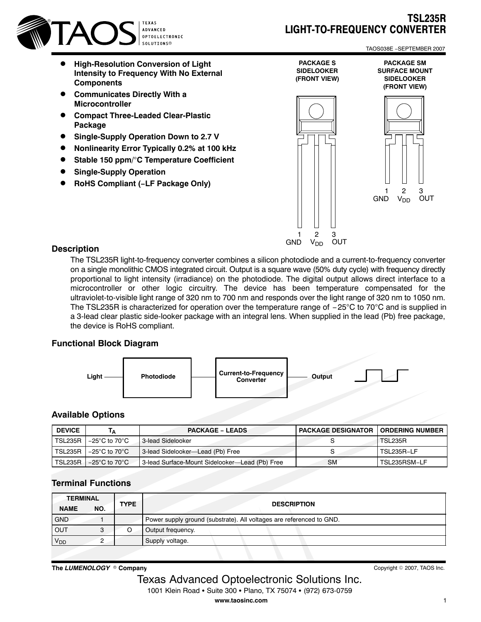

TAOS038E −SEPTEMBER 2007

- **High-Resolution Conversion of Light Intensity to Frequency With No External Components**
- **Communicates Directly With a Microcontroller**
- **Compact Three-Leaded Clear-Plastic Package**
- **Single-Supply Operation Down to 2.7 V**
- **Nonlinearity Error Typically 0.2% at 100 kHz**
- **Stable 150 ppm/**°**C Temperature Coefficient**
- **Single-Supply Operation**
- **RoHS Compliant (−LF Package Only)**



#### **Description**

The TSL235R light-to-frequency converter combines a silicon photodiode and a current-to-frequency converter on a single monolithic CMOS integrated circuit. Output is a square wave (50% duty cycle) with frequency directly proportional to light intensity (irradiance) on the photodiode. The digital output allows direct interface to a microcontroller or other logic circuitry. The device has been temperature compensated for the ultraviolet-to-visible light range of 320 nm to 700 nm and responds over the light range of 320 nm to 1050 nm. The TSL235R is characterized for operation over the temperature range of −25°C to 70°C and is supplied in a 3-lead clear plastic side-looker package with an integral lens. When supplied in the lead (Pb) free package, the device is RoHS compliant.

### **Functional Block Diagram**



#### **Available Options**

| <b>DEVICE</b> |                                                                         | <b>PACKAGE – LEADS</b>                         | <b>PACKAGE DESIGNATOR   ORDERING NUMBER</b> |                |
|---------------|-------------------------------------------------------------------------|------------------------------------------------|---------------------------------------------|----------------|
|               | l TSL235R I –25°C to 70°C i                                             | 3-lead Sidelooker                              |                                             | <b>TSL235R</b> |
|               | $\overline{\phantom{a}}$ TSL235R $\overline{\phantom{a}}$ –25°C to 70°C | 3-lead Sidelooker-Lead (Pb) Free               |                                             | TSL235R-LF     |
|               | $TSL235R$ $-25^{\circ}$ C to 70 $^{\circ}$ C                            | 3-lead Surface-Mount Sidelooker-Lead (Pb) Free | <b>SM</b>                                   | TSL235RSM-LF   |

### **Terminal Functions**

| <b>TERMINAL</b> |     |             |                                                                      |  |  |
|-----------------|-----|-------------|----------------------------------------------------------------------|--|--|
| <b>NAME</b>     | NO. | <b>TYPE</b> | <b>DESCRIPTION</b>                                                   |  |  |
| <b>GND</b>      |     |             | Power supply ground (substrate). All voltages are referenced to GND. |  |  |
| OUT             | 3   |             | Output frequency.                                                    |  |  |
| V <sub>DD</sub> |     |             | Supply voltage.                                                      |  |  |

**The LUMENOLOGY** - **Company** -

Copyright © 2007, TAOS Inc.

Texas Advanced Optoelectronic Solutions Inc.

1001 Klein Road • Suite 300 • Plano, TX 75074 • (972) 673-0759

**www.taosinc.com**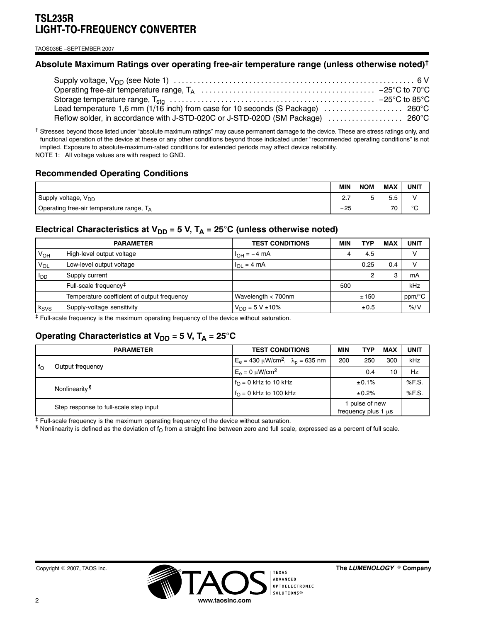TAOS038E −SEPTEMBER 2007

## **Absolute Maximum Ratings over operating free-air temperature range (unless otherwise noted)†**

| Reflow solder, in accordance with J-STD-020C or J-STD-020D (SM Package)  260°C |  |
|--------------------------------------------------------------------------------|--|

† Stresses beyond those listed under "absolute maximum ratings" may cause permanent damage to the device. These are stress ratings only, and functional operation of the device at these or any other conditions beyond those indicated under "recommended operating conditions" is not implied. Exposure to absolute-maximum-rated conditions for extended periods may affect device reliability.

NOTE 1: All voltage values are with respect to GND.

## **Recommended Operating Conditions**

|                                             | <b>MIN</b> | <b>NOM</b> | <b>MAX</b> | UNIT   |
|---------------------------------------------|------------|------------|------------|--------|
| Supply voltage,<br>VDD                      |            |            | 5.5        |        |
| Operating tree-air temperature range, $T_A$ | $-25$      |            | 70         | $\sim$ |

## Electrical Characteristics at  $V_{DD}$  = 5 V,  $T_A$  = 25°C (unless otherwise noted)

|                  | <b>PARAMETER</b>                            | <b>TEST CONDITIONS</b>      | MIN | TYP  | <b>MAX</b> | <b>UNIT</b> |
|------------------|---------------------------------------------|-----------------------------|-----|------|------------|-------------|
| Ѵон              | High-level output voltage                   | $I_{OH} = -4$ mA            |     | 4.5  |            |             |
| $V_{OL}$         | Low-level output voltage                    | $I_{\Omega} = 4 \text{ mA}$ |     | 0.25 | 0.4        |             |
| l <sub>DD</sub>  | Supply current                              |                             |     |      | з          | mA          |
|                  | Full-scale frequency <sup>#</sup>           |                             | 500 |      |            | kHz         |
|                  | Temperature coefficient of output frequency | Wavelength < 700nm          |     | ±150 |            | ppm/°C      |
| k <sub>SVS</sub> | Supply-voltage sensitivity                  | $V_{DD} = 5 V \pm 10\%$     |     | ±0.5 |            | % / V       |

‡ Full-scale frequency is the maximum operating frequency of the device without saturation.

# **Operating Characteristics at**  $V_{DD} = 5 V$ **,**  $T_A = 25^\circ C$

| <b>PARAMETER</b>                       | <b>TEST CONDITIONS</b>                           | <b>MIN</b> | TYP                                        | <b>MAX</b> | <b>UNIT</b> |
|----------------------------------------|--------------------------------------------------|------------|--------------------------------------------|------------|-------------|
| Output frequency                       | $E_e = 430 \mu W/cm^2$ , λ <sub>p</sub> = 635 nm | 200        | 250                                        | 300        | kHz         |
|                                        | $E_e = 0 \mu W/cm^2$                             |            | 0.4                                        | 10         | Hz          |
|                                        | $f_{\rm O}$ = 0 kHz to 10 kHz                    |            | ±0.1%                                      |            | %F.S.       |
| Nonlinearity <sup>§</sup>              | $f_{\Omega}$ = 0 kHz to 100 kHz                  |            | ±0.2%                                      |            | %F.S.       |
| Step response to full-scale step input |                                                  |            | I pulse of new<br>frequency plus $1 \mu s$ |            |             |

‡ Full-scale frequency is the maximum operating frequency of the device without saturation.

 $§$  Nonlinearity is defined as the deviation of  $f<sub>O</sub>$  from a straight line between zero and full scale, expressed as a percent of full scale.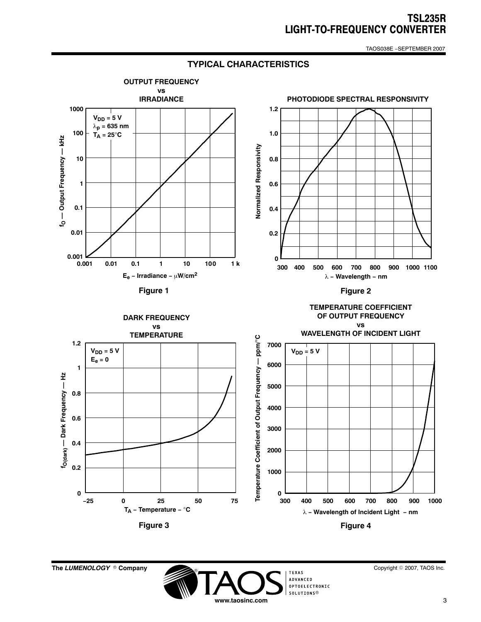TAOS038E −SEPTEMBER 2007

## **TYPICAL CHARACTERISTICS**





 $^{\circ}$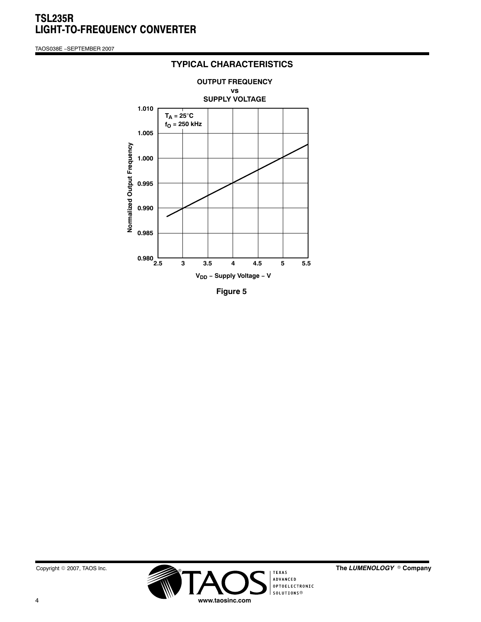TAOS038E −SEPTEMBER 2007



**TYPICAL CHARACTERISTICS**

**Figure 5**



 $^{\circ}$ 

The LUMENOLOGY <sup>®</sup> Company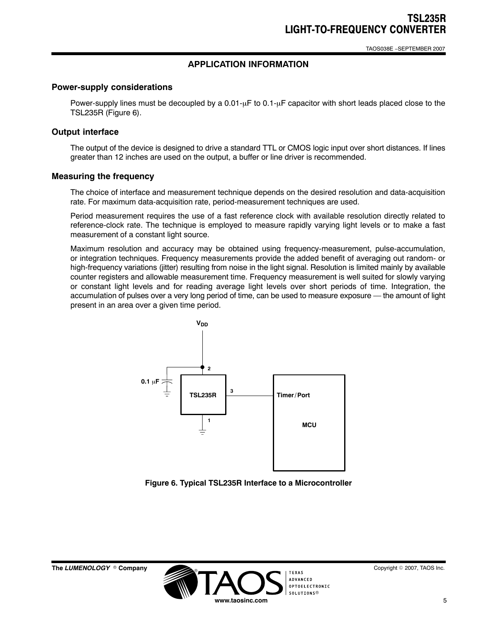TAOS038E −SEPTEMBER 2007

## **APPLICATION INFORMATION**

#### **Power-supply considerations**

Power-supply lines must be decoupled by a  $0.01-\mu$ F to  $0.1-\mu$ F capacitor with short leads placed close to the TSL235R (Figure 6).

#### **Output interface**

The output of the device is designed to drive a standard TTL or CMOS logic input over short distances. If lines greater than 12 inches are used on the output, a buffer or line driver is recommended.

#### **Measuring the frequency**

The choice of interface and measurement technique depends on the desired resolution and data-acquisition rate. For maximum data-acquisition rate, period-measurement techniques are used.

Period measurement requires the use of a fast reference clock with available resolution directly related to reference-clock rate. The technique is employed to measure rapidly varying light levels or to make a fast measurement of a constant light source.

Maximum resolution and accuracy may be obtained using frequency-measurement, pulse-accumulation, or integration techniques. Frequency measurements provide the added benefit of averaging out random- or high-frequency variations (jitter) resulting from noise in the light signal. Resolution is limited mainly by available counter registers and allowable measurement time. Frequency measurement is well suited for slowly varying or constant light levels and for reading average light levels over short periods of time. Integration, the accumulation of pulses over a very long period of time, can be used to measure exposure — the amount of light present in an area over a given time period.



**Figure 6. Typical TSL235R Interface to a Microcontroller**

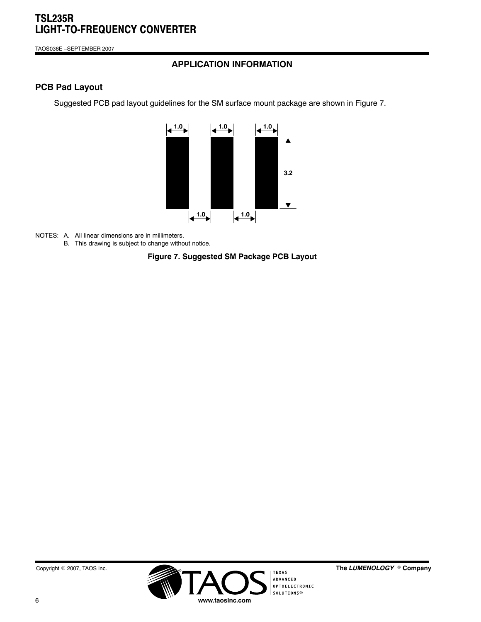TAOS038E −SEPTEMBER 2007

# **APPLICATION INFORMATION**

## **PCB Pad Layout**

Suggested PCB pad layout guidelines for the SM surface mount package are shown in Figure 7.



NOTES: A. All linear dimensions are in millimeters.

B. This drawing is subject to change without notice.

#### **Figure 7. Suggested SM Package PCB Layout**

 $^{\circ}$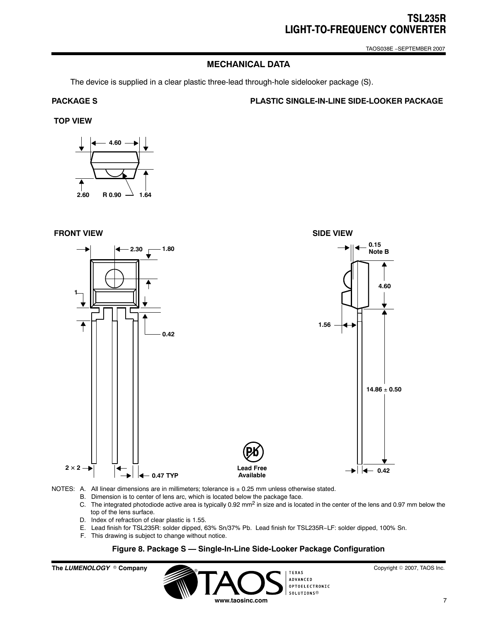TAOS038E −SEPTEMBER 2007

## **MECHANICAL DATA**

The device is supplied in a clear plastic three-lead through-hole sidelooker package (S).

#### **PACKAGE S PLASTIC SINGLE-IN-LINE SIDE-LOOKER PACKAGE**

### **TOP VIEW**



#### **FRONT VIEW SIDE VIEW**



- NOTES: A. All linear dimensions are in millimeters; tolerance is  $\pm$  0.25 mm unless otherwise stated.
	- B. Dimension is to center of lens arc, which is located below the package face.
	- C. The integrated photodiode active area is typically 0.92 mm<sup>2</sup> in size and is located in the center of the lens and 0.97 mm below the top of the lens surface.
	- D. Index of refraction of clear plastic is 1.55.
	- E. Lead finish for TSL235R: solder dipped, 63% Sn/37% Pb. Lead finish for TSL235R−LF: solder dipped, 100% Sn.
	- F. This drawing is subject to change without notice.

#### **Figure 8. Package S — Single-In-Line Side-Looker Package Configuration**



Copyright © 2007, TAOS Inc.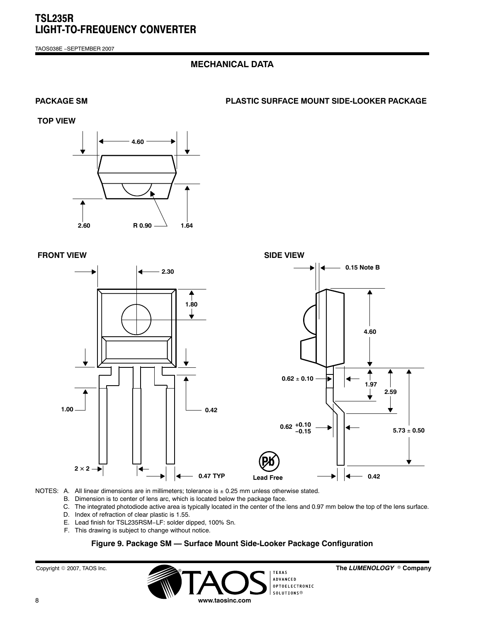TAOS038E −SEPTEMBER 2007

## **MECHANICAL DATA**

#### **PACKAGE SM PLASTIC SURFACE MOUNT SIDE-LOOKER PACKAGE**

**TOP VIEW**



#### **FRONT VIEW SIDE VIEW**



NOTES: A. All linear dimensions are in millimeters; tolerance is ± 0.25 mm unless otherwise stated.

- B. Dimension is to center of lens arc, which is located below the package face.
- C. The integrated photodiode active area is typically located in the center of the lens and 0.97 mm below the top of the lens surface.
- D. Index of refraction of clear plastic is 1.55.
- E. Lead finish for TSL235RSM−LF: solder dipped, 100% Sn.
- F. This drawing is subject to change without notice.

#### **Figure 9. Package SM — Surface Mount Side-Looker Package Configuration**



The LUMENOLOGY <sup>®</sup> Company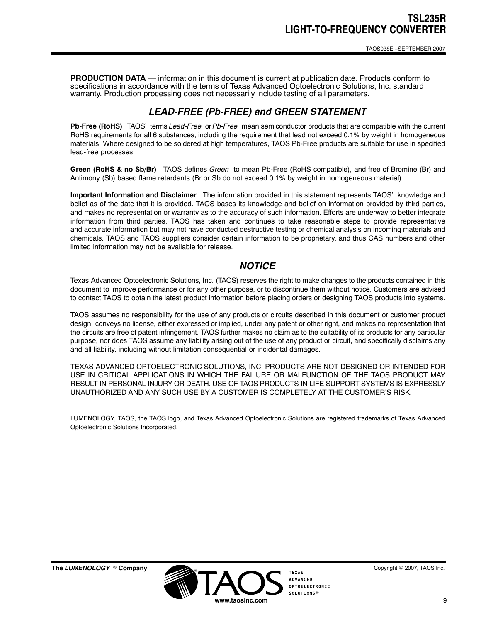**PRODUCTION DATA** — information in this document is current at publication date. Products conform to specifications in accordance with the terms of Texas Advanced Optoelectronic Solutions, Inc. standard warranty. Production processing does not necessarily include testing of all parameters.

# **LEAD-FREE (Pb-FREE) and GREEN STATEMENT**

**Pb-Free (RoHS)** TAOS' terms Lead-Free or Pb-Free mean semiconductor products that are compatible with the current RoHS requirements for all 6 substances, including the requirement that lead not exceed 0.1% by weight in homogeneous materials. Where designed to be soldered at high temperatures, TAOS Pb-Free products are suitable for use in specified lead-free processes.

**Green (RoHS & no Sb/Br)** TAOS defines Green to mean Pb-Free (RoHS compatible), and free of Bromine (Br) and Antimony (Sb) based flame retardants (Br or Sb do not exceed 0.1% by weight in homogeneous material).

**Important Information and Disclaimer** The information provided in this statement represents TAOS' knowledge and belief as of the date that it is provided. TAOS bases its knowledge and belief on information provided by third parties, and makes no representation or warranty as to the accuracy of such information. Efforts are underway to better integrate information from third parties. TAOS has taken and continues to take reasonable steps to provide representative and accurate information but may not have conducted destructive testing or chemical analysis on incoming materials and chemicals. TAOS and TAOS suppliers consider certain information to be proprietary, and thus CAS numbers and other limited information may not be available for release.

### **NOTICE**

Texas Advanced Optoelectronic Solutions, Inc. (TAOS) reserves the right to make changes to the products contained in this document to improve performance or for any other purpose, or to discontinue them without notice. Customers are advised to contact TAOS to obtain the latest product information before placing orders or designing TAOS products into systems.

TAOS assumes no responsibility for the use of any products or circuits described in this document or customer product design, conveys no license, either expressed or implied, under any patent or other right, and makes no representation that the circuits are free of patent infringement. TAOS further makes no claim as to the suitability of its products for any particular purpose, nor does TAOS assume any liability arising out of the use of any product or circuit, and specifically disclaims any and all liability, including without limitation consequential or incidental damages.

TEXAS ADVANCED OPTOELECTRONIC SOLUTIONS, INC. PRODUCTS ARE NOT DESIGNED OR INTENDED FOR USE IN CRITICAL APPLICATIONS IN WHICH THE FAILURE OR MALFUNCTION OF THE TAOS PRODUCT MAY RESULT IN PERSONAL INJURY OR DEATH. USE OF TAOS PRODUCTS IN LIFE SUPPORT SYSTEMS IS EXPRESSLY UNAUTHORIZED AND ANY SUCH USE BY A CUSTOMER IS COMPLETELY AT THE CUSTOMER'S RISK.

LUMENOLOGY, TAOS, the TAOS logo, and Texas Advanced Optoelectronic Solutions are registered trademarks of Texas Advanced Optoelectronic Solutions Incorporated.